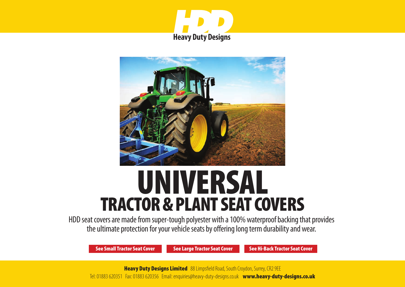



# UNIVERSAL TRACTOR & PLANT SEAT COVERS

HDD seat covers are made from super-tough polyester with a 100% waterproof backing that provides the ultimate protection for your vehicle seats by offering long term durability and wear.

[See Small Tractor Seat Cover](#page-1-0) [See Large Tractor Seat Cover](#page-2-0) [See Hi-Back Tractor Seat Cover](#page-3-0)

**Heavy Duty Designs Limited** 88 Limpsfield Road, South Croydon, Surrey, CR2 9EE Tel: 01883 620351 Fax: 01883 620356 Email: enquiries@heavy-duty-designs.co.uk www.heavy-duty-designs.co.uk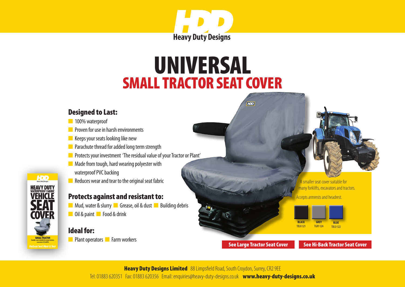

# SMALL TRACTOR SEAT COVER UNIVERSAL

#### <span id="page-1-0"></span>Designed to Last:

- n 100% waterproof
- **n** Proven for use in harsh environments
- $\blacksquare$  Keeps your seats looking like new
- $\blacksquare$  Parachute thread for added long term strength
- **n** Protects your investment 'The residual value of your Tractor or Plant'
- $\blacksquare$  Made from tough, hard wearing polyester with
	- waterproof PVC backing
- $\blacksquare$  Reduces wear and tear to the original seat fabric

### Protects against and resistant to:

**n** Mud, water & slurry **n** Grease, oil & dust **n** Building debris **n** Oil & paint **n** Food & drink

# Ideal for:

HDD

**HEAVY DUTY**<br>WATERPROOF FABRIC<br>**VEHICLE** 

**COVER** 

**SMALL TRACTOR** 

**n** Plant operators **n** Farm workers

A smaller seat cover suitable for many forklifts, excavators and tractors.

ccepts armrests and headrest.



**HOD** 

[See Large Tractor Seat Cover](#page-2-0) [See Hi-Back Tractor Seat Cover](#page-3-0)

**Heavy Duty Designs Limited** 88 Limpsfield Road, South Croydon, Surrey, CR2 9EE Tel: 01883 620351 Fax: 01883 620356 Email: enquiries@heavy-duty-designs.co.uk www.heavy-duty-designs.co.uk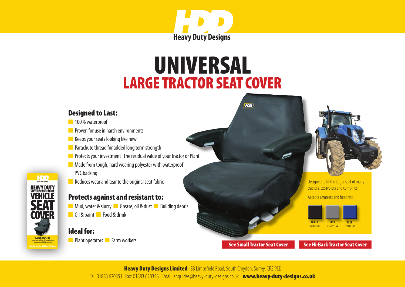

# LARGE TRACTOR SEAT COVER UNIVERSAL

#### <span id="page-2-0"></span>Designed to Last:

- n 100% waterproof
- **n** Proven for use in harsh environments
- $\blacksquare$  Keeps your seats looking like new
- $\blacksquare$  Parachute thread for added long term strength
- **n** Protects your investment 'The residual value of your Tractor or Plant'
- $\blacksquare$  Made from tough, hard wearing polyester with waterproof PVC backing
- $\blacksquare$  Reduces wear and tear to the original seat fabric

## Protects against and resistant to:

**n** Mud, water & slurry **n** Grease, oil & dust **n** Building debris **n** Oil & paint **n** Food & drink

# Ideal for:

**HDD HEAVY DUTY VEHICLE** 

**COVFR** 

**LARGE TRACTOR** 

**n** Plant operators **n** Farm workers

Designed to fit the larger seat of many tractors, excavators and combines.

Accepts armrests and headrest.



 $|HDD|$ 

[See Small Tractor Seat Cover](#page-1-0) [See Hi-Back Tractor Seat Cover](#page-3-0)

**Heavy Duty Designs Limited** 88 Limpsfield Road, South Croydon, Surrey, CR2 9EE Tel: 01883 620351 Fax: 01883 620356 Email: enquiries@heavy-duty-designs.co.uk www.heavy-duty-designs.co.uk